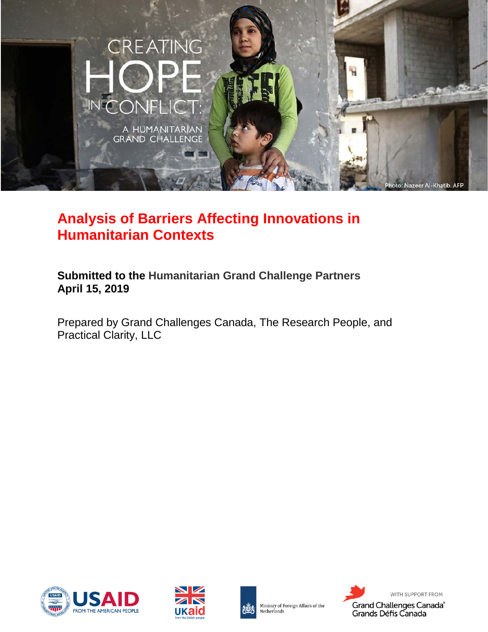

# **Analysis of Barriers Affecting Innovations in Humanitarian Contexts**

**Submitted to the Humanitarian Grand Challenge Partners April 15, 2019**

Prepared by Grand Challenges Canada, The Research People, and Practical Clarity, LLC







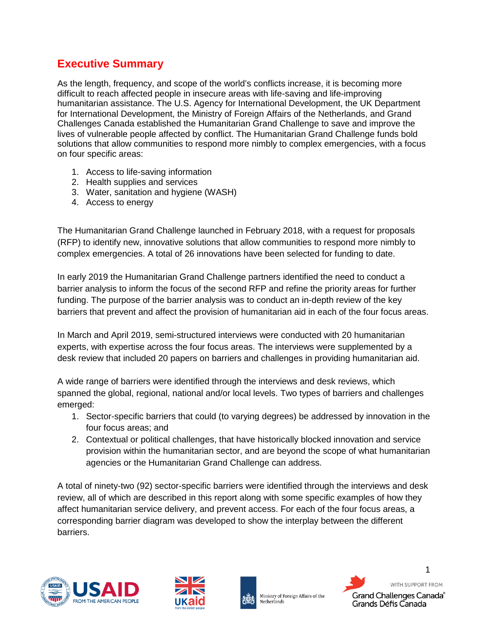# <span id="page-1-0"></span>**Executive Summary**

As the length, frequency, and scope of the world's conflicts increase, it is becoming more difficult to reach affected people in insecure areas with life-saving and life-improving humanitarian assistance. The U.S. Agency for International Development, the UK Department for International Development, the Ministry of Foreign Affairs of the Netherlands, and Grand Challenges Canada established the Humanitarian Grand Challenge to save and improve the lives of vulnerable people affected by conflict. The Humanitarian Grand Challenge funds bold solutions that allow communities to respond more nimbly to complex emergencies, with a focus on four specific areas:

- 1. Access to life-saving information
- 2. Health supplies and services
- 3. Water, sanitation and hygiene (WASH)
- 4. Access to energy

The Humanitarian Grand Challenge launched in February 2018, with a request for proposals (RFP) to identify new, innovative solutions that allow communities to respond more nimbly to complex emergencies. A total of 26 innovations have been selected for funding to date.

In early 2019 the Humanitarian Grand Challenge partners identified the need to conduct a barrier analysis to inform the focus of the second RFP and refine the priority areas for further funding. The purpose of the barrier analysis was to conduct an in-depth review of the key barriers that prevent and affect the provision of humanitarian aid in each of the four focus areas.

In March and April 2019, semi-structured interviews were conducted with 20 humanitarian experts, with expertise across the four focus areas. The interviews were supplemented by a desk review that included 20 papers on barriers and challenges in providing humanitarian aid.

A wide range of barriers were identified through the interviews and desk reviews, which spanned the global, regional, national and/or local levels. Two types of barriers and challenges emerged:

- 1. Sector-specific barriers that could (to varying degrees) be addressed by innovation in the four focus areas; and
- 2. Contextual or political challenges, that have historically blocked innovation and service provision within the humanitarian sector, and are beyond the scope of what humanitarian agencies or the Humanitarian Grand Challenge can address.

A total of ninety-two (92) sector-specific barriers were identified through the interviews and desk review, all of which are described in this report along with some specific examples of how they affect humanitarian service delivery, and prevent access. For each of the four focus areas, a corresponding barrier diagram was developed to show the interplay between the different barriers.







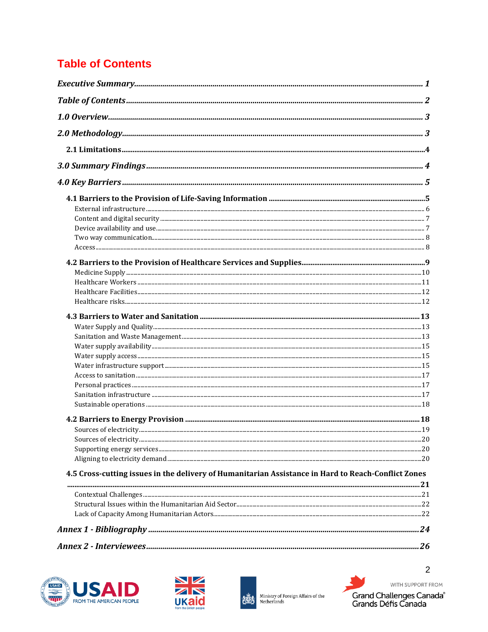# <span id="page-2-0"></span>**Table of Contents**

| 4.5 Cross-cutting issues in the delivery of Humanitarian Assistance in Hard to Reach-Conflict Zones |  |
|-----------------------------------------------------------------------------------------------------|--|
|                                                                                                     |  |
|                                                                                                     |  |
|                                                                                                     |  |
|                                                                                                     |  |
|                                                                                                     |  |







WITH SUPPORT FROM Grand Challenges Canada<sup>®</sup><br>Grands Défis Canada

 $\overline{2}$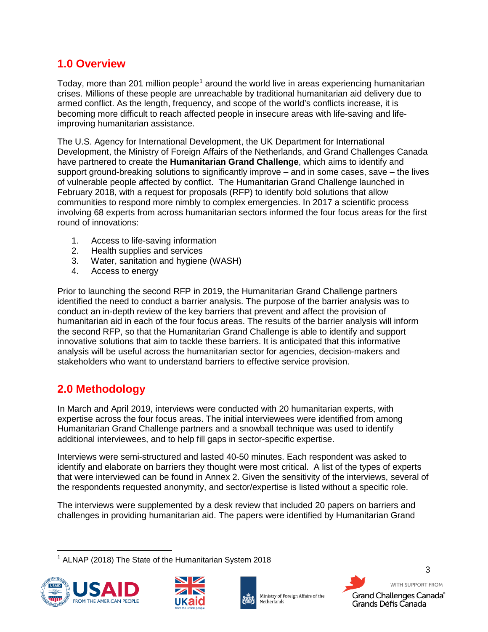# <span id="page-3-0"></span>**1.0 Overview**

Today, more than 20[1](#page-3-2) million people<sup>1</sup> around the world live in areas experiencing humanitarian crises. Millions of these people are unreachable by traditional humanitarian aid delivery due to armed conflict. As the length, frequency, and scope of the world's conflicts increase, it is becoming more difficult to reach affected people in insecure areas with life-saving and lifeimproving humanitarian assistance.

The U.S. Agency for International Development, the UK Department for International Development, the Ministry of Foreign Affairs of the Netherlands, and Grand Challenges Canada have partnered to create the **Humanitarian Grand Challenge**, which aims to identify and support ground-breaking solutions to significantly improve – and in some cases, save – the lives of vulnerable people affected by conflict. The Humanitarian Grand Challenge launched in February 2018, with a request for proposals (RFP) to identify bold solutions that allow communities to respond more nimbly to complex emergencies. In 2017 a scientific process involving 68 experts from across humanitarian sectors informed the four focus areas for the first round of innovations:

- 1. Access to life-saving information
- 2. Health supplies and services
- 3. Water, sanitation and hygiene (WASH)
- 4. Access to energy

Prior to launching the second RFP in 2019, the Humanitarian Grand Challenge partners identified the need to conduct a barrier analysis. The purpose of the barrier analysis was to conduct an in-depth review of the key barriers that prevent and affect the provision of humanitarian aid in each of the four focus areas. The results of the barrier analysis will inform the second RFP, so that the Humanitarian Grand Challenge is able to identify and support innovative solutions that aim to tackle these barriers. It is anticipated that this informative analysis will be useful across the humanitarian sector for agencies, decision-makers and stakeholders who want to understand barriers to effective service provision.

# <span id="page-3-1"></span>**2.0 Methodology**

In March and April 2019, interviews were conducted with 20 humanitarian experts, with expertise across the four focus areas. The initial interviewees were identified from among Humanitarian Grand Challenge partners and a snowball technique was used to identify additional interviewees, and to help fill gaps in sector-specific expertise.

Interviews were semi-structured and lasted 40-50 minutes. Each respondent was asked to identify and elaborate on barriers they thought were most critical. A list of the types of experts that were interviewed can be found in Annex 2. Given the sensitivity of the interviews, several of the respondents requested anonymity, and sector/expertise is listed without a specific role.

The interviews were supplemented by a desk review that included 20 papers on barriers and challenges in providing humanitarian aid. The papers were identified by Humanitarian Grand

<span id="page-3-2"></span> <sup>1</sup> ALNAP (2018) The State of the Humanitarian System 2018







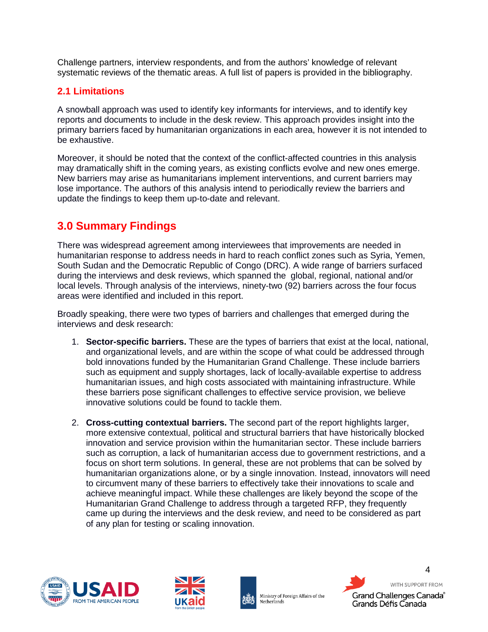Challenge partners, interview respondents, and from the authors' knowledge of relevant systematic reviews of the thematic areas. A full list of papers is provided in the bibliography.

### <span id="page-4-0"></span>**2.1 Limitations**

A snowball approach was used to identify key informants for interviews, and to identify key reports and documents to include in the desk review. This approach provides insight into the primary barriers faced by humanitarian organizations in each area, however it is not intended to be exhaustive.

Moreover, it should be noted that the context of the conflict-affected countries in this analysis may dramatically shift in the coming years, as existing conflicts evolve and new ones emerge. New barriers may arise as humanitarians implement interventions, and current barriers may lose importance. The authors of this analysis intend to periodically review the barriers and update the findings to keep them up-to-date and relevant.

# <span id="page-4-1"></span>**3.0 Summary Findings**

There was widespread agreement among interviewees that improvements are needed in humanitarian response to address needs in hard to reach conflict zones such as Syria, Yemen, South Sudan and the Democratic Republic of Congo (DRC). A wide range of barriers surfaced during the interviews and desk reviews, which spanned the global, regional, national and/or local levels. Through analysis of the interviews, ninety-two (92) barriers across the four focus areas were identified and included in this report.

Broadly speaking, there were two types of barriers and challenges that emerged during the interviews and desk research:

- 1. **Sector-specific barriers.** These are the types of barriers that exist at the local, national, and organizational levels, and are within the scope of what could be addressed through bold innovations funded by the Humanitarian Grand Challenge. These include barriers such as equipment and supply shortages, lack of locally-available expertise to address humanitarian issues, and high costs associated with maintaining infrastructure. While these barriers pose significant challenges to effective service provision, we believe innovative solutions could be found to tackle them.
- 2. **Cross-cutting contextual barriers.** The second part of the report highlights larger, more extensive contextual, political and structural barriers that have historically blocked innovation and service provision within the humanitarian sector. These include barriers such as corruption, a lack of humanitarian access due to government restrictions, and a focus on short term solutions. In general, these are not problems that can be solved by humanitarian organizations alone, or by a single innovation. Instead, innovators will need to circumvent many of these barriers to effectively take their innovations to scale and achieve meaningful impact. While these challenges are likely beyond the scope of the Humanitarian Grand Challenge to address through a targeted RFP, they frequently came up during the interviews and the desk review, and need to be considered as part of any plan for testing or scaling innovation.







Ministry of Foreign Affairs of the Netherlands

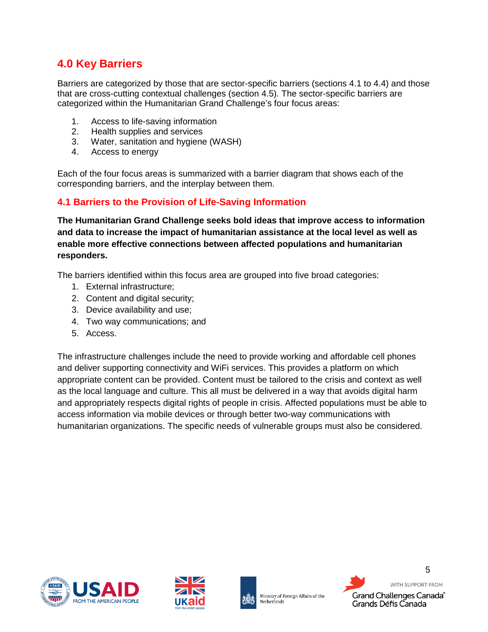# <span id="page-5-0"></span>**4.0 Key Barriers**

Barriers are categorized by those that are sector-specific barriers (sections 4.1 to 4.4) and those that are cross-cutting contextual challenges (section 4.5). The sector-specific barriers are categorized within the Humanitarian Grand Challenge's four focus areas:

- 1. Access to life-saving information
- 2. Health supplies and services
- 3. Water, sanitation and hygiene (WASH)
- 4. Access to energy

Each of the four focus areas is summarized with a barrier diagram that shows each of the corresponding barriers, and the interplay between them.

#### <span id="page-5-1"></span>**4.1 Barriers to the Provision of Life-Saving Information**

**The Humanitarian Grand Challenge seeks bold ideas that improve access to information and data to increase the impact of humanitarian assistance at the local level as well as enable more effective connections between affected populations and humanitarian responders.**

The barriers identified within this focus area are grouped into five broad categories:

- 1. External infrastructure;
- 2. Content and digital security;
- 3. Device availability and use;
- 4. Two way communications; and
- 5. Access.

The infrastructure challenges include the need to provide working and affordable cell phones and deliver supporting connectivity and WiFi services. This provides a platform on which appropriate content can be provided. Content must be tailored to the crisis and context as well as the local language and culture. This all must be delivered in a way that avoids digital harm and appropriately respects digital rights of people in crisis. Affected populations must be able to access information via mobile devices or through better two-way communications with humanitarian organizations. The specific needs of vulnerable groups must also be considered.







Ministry of Foreign Affairs of the Netherlands

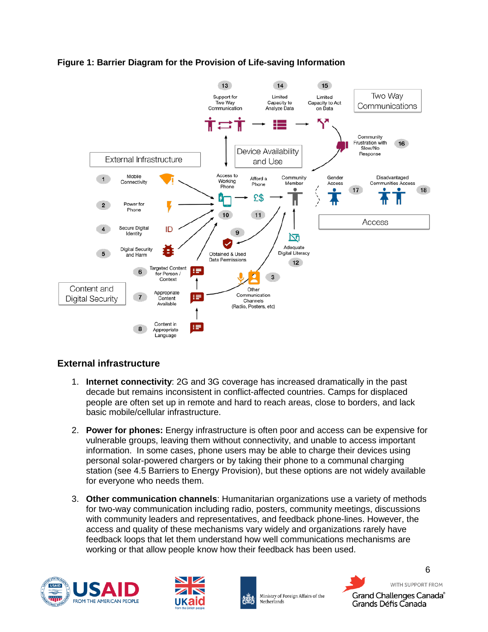

#### **Figure 1: Barrier Diagram for the Provision of Life-saving Information**

#### <span id="page-6-0"></span>**External infrastructure**

- 1. **Internet connectivity**: 2G and 3G coverage has increased dramatically in the past decade but remains inconsistent in conflict-affected countries. Camps for displaced people are often set up in remote and hard to reach areas, close to borders, and lack basic mobile/cellular infrastructure.
- 2. **Power for phones:** Energy infrastructure is often poor and access can be expensive for vulnerable groups, leaving them without connectivity, and unable to access important information. In some cases, phone users may be able to charge their devices using personal solar-powered chargers or by taking their phone to a communal charging station (see 4.5 Barriers to Energy Provision), but these options are not widely available for everyone who needs them.
- 3. **Other communication channels**: Humanitarian organizations use a variety of methods for two-way communication including radio, posters, community meetings, discussions with community leaders and representatives, and feedback phone-lines. However, the access and quality of these mechanisms vary widely and organizations rarely have feedback loops that let them understand how well communications mechanisms are working or that allow people know how their feedback has been used.







WITH SUPPORT FROM Grand Challenges Canada® Grands Défis Canada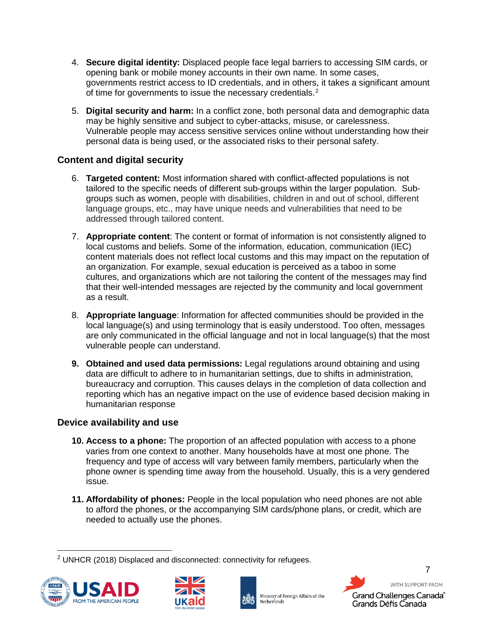- 4. **Secure digital identity:** Displaced people face legal barriers to accessing SIM cards, or opening bank or mobile money accounts in their own name. In some cases, governments restrict access to ID credentials, and in others, it takes a significant amount of time for governments to issue the necessary credentials.<sup>[2](#page-7-2)</sup>
- 5. **Digital security and harm:** In a conflict zone, both personal data and demographic data may be highly sensitive and subject to cyber-attacks, misuse, or carelessness. Vulnerable people may access sensitive services online without understanding how their personal data is being used, or the associated risks to their personal safety.

#### <span id="page-7-0"></span>**Content and digital security**

- 6. **Targeted content:** Most information shared with conflict-affected populations is not tailored to the specific needs of different sub-groups within the larger population. Subgroups such as women, people with disabilities, children in and out of school, different language groups, etc., may have unique needs and vulnerabilities that need to be addressed through tailored content.
- 7. **Appropriate content**: The content or format of information is not consistently aligned to local customs and beliefs. Some of the information, education, communication (IEC) content materials does not reflect local customs and this may impact on the reputation of an organization. For example, sexual education is perceived as a taboo in some cultures, and organizations which are not tailoring the content of the messages may find that their well-intended messages are rejected by the community and local government as a result.
- 8. **Appropriate language**: Information for affected communities should be provided in the local language(s) and using terminology that is easily understood. Too often, messages are only communicated in the official language and not in local language(s) that the most vulnerable people can understand.
- **9. Obtained and used data permissions:** Legal regulations around obtaining and using data are difficult to adhere to in humanitarian settings, due to shifts in administration, bureaucracy and corruption. This causes delays in the completion of data collection and reporting which has an negative impact on the use of evidence based decision making in humanitarian response

#### <span id="page-7-1"></span>**Device availability and use**

- **10. Access to a phone:** The proportion of an affected population with access to a phone varies from one context to another. Many households have at most one phone. The frequency and type of access will vary between family members, particularly when the phone owner is spending time away from the household. Usually, this is a very gendered issue.
- **11. Affordability of phones:** People in the local population who need phones are not able to afford the phones, or the accompanying SIM cards/phone plans, or credit, which are needed to actually use the phones.

<span id="page-7-2"></span> <sup>2</sup> UNHCR (2018) Displaced and disconnected: connectivity for refugees.





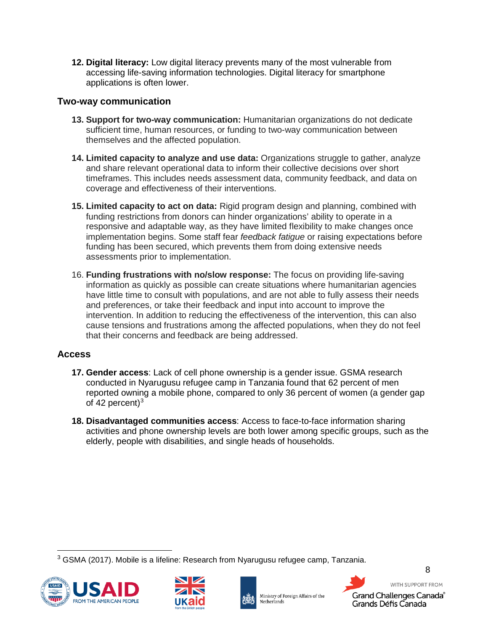**12. Digital literacy:** Low digital literacy prevents many of the most vulnerable from accessing life-saving information technologies. Digital literacy for smartphone applications is often lower.

#### <span id="page-8-0"></span>**Two-way communication**

- **13. Support for two-way communication:** Humanitarian organizations do not dedicate sufficient time, human resources, or funding to two-way communication between themselves and the affected population.
- **14. Limited capacity to analyze and use data:** Organizations struggle to gather, analyze and share relevant operational data to inform their collective decisions over short timeframes. This includes needs assessment data, community feedback, and data on coverage and effectiveness of their interventions.
- **15. Limited capacity to act on data:** Rigid program design and planning, combined with funding restrictions from donors can hinder organizations' ability to operate in a responsive and adaptable way, as they have limited flexibility to make changes once implementation begins. Some staff fear *feedback fatigue* or raising expectations before funding has been secured, which prevents them from doing extensive needs assessments prior to implementation.
- 16. **Funding frustrations with no/slow response:** The focus on providing life-saving information as quickly as possible can create situations where humanitarian agencies have little time to consult with populations, and are not able to fully assess their needs and preferences, or take their feedback and input into account to improve the intervention. In addition to reducing the effectiveness of the intervention, this can also cause tensions and frustrations among the affected populations, when they do not feel that their concerns and feedback are being addressed.

#### <span id="page-8-1"></span>**Access**

- **17. Gender access**: Lack of cell phone ownership is a gender issue. GSMA research conducted in Nyarugusu refugee camp in Tanzania found that 62 percent of men reported owning a mobile phone, compared to only 36 percent of women (a gender gap of 42 percent) $3$
- **18. Disadvantaged communities access**: Access to face-to-face information sharing activities and phone ownership levels are both lower among specific groups, such as the elderly, people with disabilities, and single heads of households.

<span id="page-8-2"></span> <sup>3</sup> GSMA (2017). Mobile is a lifeline: Research from Nyarugusu refugee camp, Tanzania.







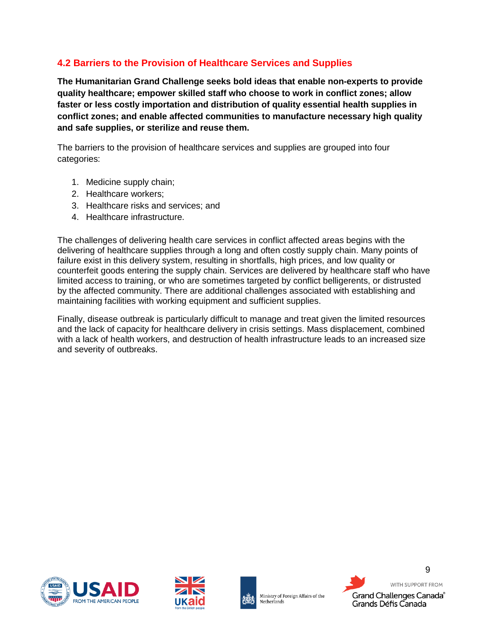# <span id="page-9-0"></span>**4.2 Barriers to the Provision of Healthcare Services and Supplies**

**The Humanitarian Grand Challenge seeks bold ideas that enable non-experts to provide quality healthcare; empower skilled staff who choose to work in conflict zones; allow faster or less costly importation and distribution of quality essential health supplies in conflict zones; and enable affected communities to manufacture necessary high quality and safe supplies, or sterilize and reuse them.**

The barriers to the provision of healthcare services and supplies are grouped into four categories:

- 1. Medicine supply chain;
- 2. Healthcare workers;
- 3. Healthcare risks and services; and
- 4. Healthcare infrastructure.

The challenges of delivering health care services in conflict affected areas begins with the delivering of healthcare supplies through a long and often costly supply chain. Many points of failure exist in this delivery system, resulting in shortfalls, high prices, and low quality or counterfeit goods entering the supply chain. Services are delivered by healthcare staff who have limited access to training, or who are sometimes targeted by conflict belligerents, or distrusted by the affected community. There are additional challenges associated with establishing and maintaining facilities with working equipment and sufficient supplies.

Finally, disease outbreak is particularly difficult to manage and treat given the limited resources and the lack of capacity for healthcare delivery in crisis settings. Mass displacement, combined with a lack of health workers, and destruction of health infrastructure leads to an increased size and severity of outbreaks.







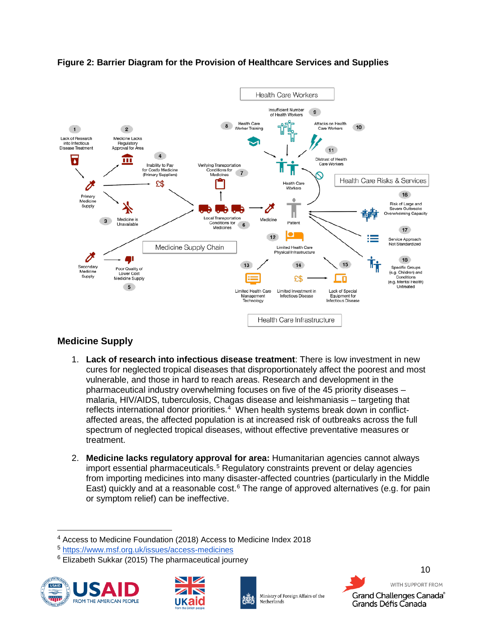

#### **Figure 2: Barrier Diagram for the Provision of Healthcare Services and Supplies**

# <span id="page-10-0"></span>**Medicine Supply**

- 1. **Lack of research into infectious disease treatment**: There is low investment in new cures for neglected tropical diseases that disproportionately affect the poorest and most vulnerable, and those in hard to reach areas. Research and development in the pharmaceutical industry overwhelming focuses on five of the 45 priority diseases – malaria, HIV/AIDS, tuberculosis, Chagas disease and leishmaniasis – targeting that reflects international donor priorities.<sup>[4](#page-10-1)</sup> When health systems break down in conflictaffected areas, the affected population is at increased risk of outbreaks across the full spectrum of neglected tropical diseases, without effective preventative measures or treatment.
- 2. **Medicine lacks regulatory approval for area:** Humanitarian agencies cannot always import essential pharmaceuticals.<sup>[5](#page-10-2)</sup> Regulatory constraints prevent or delay agencies from importing medicines into many disaster-affected countries (particularly in the Middle East) quickly and at a reasonable cost.<sup>[6](#page-10-3)</sup> The range of approved alternatives (e.g. for pain or symptom relief) can be ineffective.

<span id="page-10-3"></span><span id="page-10-2"></span><span id="page-10-1"></span> $6$  Elizabeth Sukkar (2015) The pharmaceutical journey









 <sup>4</sup> Access to Medicine Foundation (2018) Access to Medicine Index 2018

<sup>5</sup> <https://www.msf.org.uk/issues/access-medicines>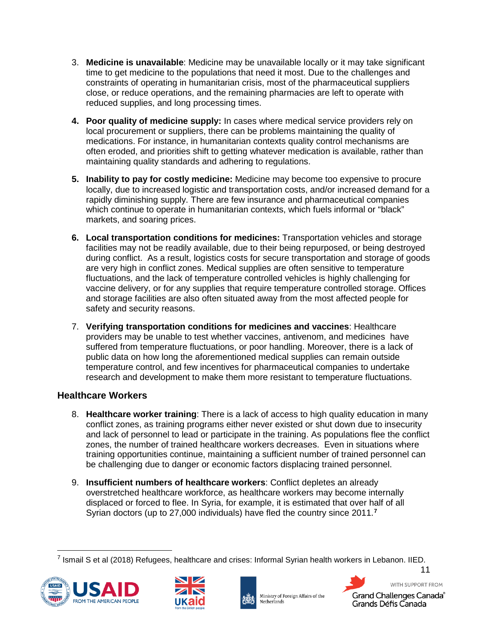- 3. **Medicine is unavailable**: Medicine may be unavailable locally or it may take significant time to get medicine to the populations that need it most. Due to the challenges and constraints of operating in humanitarian crisis, most of the pharmaceutical suppliers close, or reduce operations, and the remaining pharmacies are left to operate with reduced supplies, and long processing times.
- **4. Poor quality of medicine supply:** In cases where medical service providers rely on local procurement or suppliers, there can be problems maintaining the quality of medications. For instance, in humanitarian contexts quality control mechanisms are often eroded, and priorities shift to getting whatever medication is available, rather than maintaining quality standards and adhering to regulations.
- **5. Inability to pay for costly medicine:** Medicine may become too expensive to procure locally, due to increased logistic and transportation costs, and/or increased demand for a rapidly diminishing supply. There are few insurance and pharmaceutical companies which continue to operate in humanitarian contexts, which fuels informal or "black" markets, and soaring prices.
- **6. Local transportation conditions for medicines:** Transportation vehicles and storage facilities may not be readily available, due to their being repurposed, or being destroyed during conflict. As a result, logistics costs for secure transportation and storage of goods are very high in conflict zones. Medical supplies are often sensitive to temperature fluctuations, and the lack of temperature controlled vehicles is highly challenging for vaccine delivery, or for any supplies that require temperature controlled storage. Offices and storage facilities are also often situated away from the most affected people for safety and security reasons.
- 7. **Verifying transportation conditions for medicines and vaccines**: Healthcare providers may be unable to test whether vaccines, antivenom, and medicines have suffered from temperature fluctuations, or poor handling. Moreover, there is a lack of public data on how long the aforementioned medical supplies can remain outside temperature control, and few incentives for pharmaceutical companies to undertake research and development to make them more resistant to temperature fluctuations.

#### <span id="page-11-0"></span>**Healthcare Workers**

- 8. **Healthcare worker training**: There is a lack of access to high quality education in many conflict zones, as training programs either never existed or shut down due to insecurity and lack of personnel to lead or participate in the training. As populations flee the conflict zones, the number of trained healthcare workers decreases. Even in situations where training opportunities continue, maintaining a sufficient number of trained personnel can be challenging due to danger or economic factors displacing trained personnel.
- 9. **Insufficient numbers of healthcare workers**: Conflict depletes an already overstretched healthcare workforce, as healthcare workers may become internally displaced or forced to flee. In Syria, for example, it is estimated that over half of all Syrian doctors (up to 27,000 individuals) have fled the country since 2011.**[7](#page-11-1)**

<span id="page-11-1"></span> $^7$  Ismail S et al (2018) Refugees, healthcare and crises: Informal Syrian health workers in Lebanon. IIED.









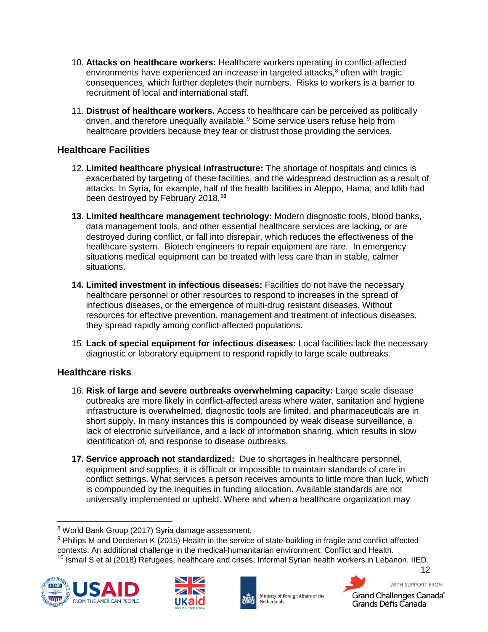- 10. **Attacks on healthcare workers:** Healthcare workers operating in conflict-affected environments have experienced an increase in targeted attacks, $8$  often with tragic consequences, which further depletes their numbers. Risks to workers is a barrier to recruitment of local and international staff.
- 11. **Distrust of healthcare workers.** Access to healthcare can be perceived as politically driven, and therefore unequally available.<sup>[9](#page-12-3)</sup> Some service users refuse help from healthcare providers because they fear or distrust those providing the services.

#### <span id="page-12-0"></span>**Healthcare Facilities**

- 12. **Limited healthcare physical infrastructure:** The shortage of hospitals and clinics is exacerbated by targeting of these facilities, and the widespread destruction as a result of attacks. In Syria, for example, half of the health facilities in Aleppo, Hama, and Idlib had been destroyed by February 2018.**[10](#page-12-4)**
- **13. Limited healthcare management technology:** Modern diagnostic tools, blood banks, data management tools, and other essential healthcare services are lacking, or are destroyed during conflict, or fall into disrepair, which reduces the effectiveness of the healthcare system. Biotech engineers to repair equipment are rare. In emergency situations medical equipment can be treated with less care than in stable, calmer situations.
- **14. Limited investment in infectious diseases:** Facilities do not have the necessary healthcare personnel or other resources to respond to increases in the spread of infectious diseases, or the emergence of multi-drug resistant diseases. Without resources for effective prevention, management and treatment of infectious diseases, they spread rapidly among conflict-affected populations.
- 15. **Lack of special equipment for infectious diseases:** Local facilities lack the necessary diagnostic or laboratory equipment to respond rapidly to large scale outbreaks.

#### <span id="page-12-1"></span>**Healthcare risks**

- 16. **Risk of large and severe outbreaks overwhelming capacity:** Large scale disease outbreaks are more likely in conflict-affected areas where water, sanitation and hygiene infrastructure is overwhelmed, diagnostic tools are limited, and pharmaceuticals are in short supply. In many instances this is compounded by weak disease surveillance, a lack of electronic surveillance, and a lack of information sharing, which results in slow identification of, and response to disease outbreaks.
- **17. Service approach not standardized:** Due to shortages in healthcare personnel, equipment and supplies, it is difficult or impossible to maintain standards of care in conflict settings. What services a person receives amounts to little more than luck, which is compounded by the inequities in funding allocation. Available standards are not universally implemented or upheld. Where and when a healthcare organization may

<span id="page-12-4"></span><span id="page-12-3"></span><span id="page-12-2"></span><sup>9</sup> Philips M and Derderian K (2015) Health in the service of state-building in fragile and conflict affected contexts: An additional challenge in the medical-humanitarian environment. Conflict and Health. <sup>10</sup> Ismail S et al (2018) Refugees, healthcare and crises: Informal Syrian health workers in Lebanon. IIED.







Ministry of Foreign Affairs of the Netherlands



 <sup>8</sup> World Bank Group (2017) Syria damage assessment.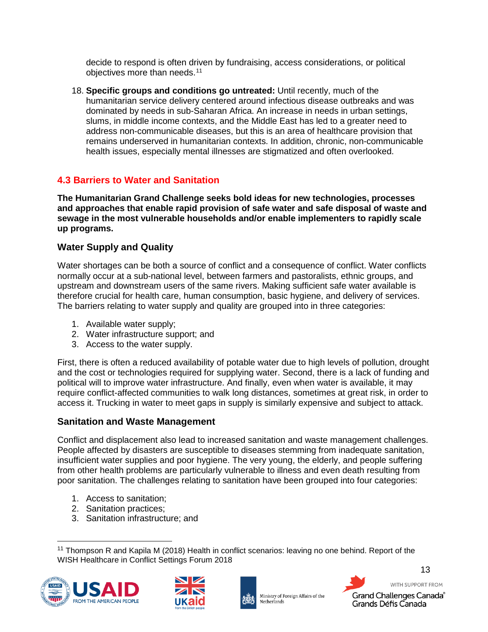decide to respond is often driven by fundraising, access considerations, or political objectives more than needs. [11](#page-13-3)

18. **Specific groups and conditions go untreated:** Until recently, much of the humanitarian service delivery centered around infectious disease outbreaks and was dominated by needs in sub-Saharan Africa. An increase in needs in urban settings, slums, in middle income contexts, and the Middle East has led to a greater need to address non-communicable diseases, but this is an area of healthcare provision that remains underserved in humanitarian contexts. In addition, chronic, non-communicable health issues, especially mental illnesses are stigmatized and often overlooked.

### <span id="page-13-0"></span>**4.3 Barriers to Water and Sanitation**

**The Humanitarian Grand Challenge seeks bold ideas for new technologies, processes and approaches that enable rapid provision of safe water and safe disposal of waste and sewage in the most vulnerable households and/or enable implementers to rapidly scale up programs.**

#### <span id="page-13-1"></span>**Water Supply and Quality**

Water shortages can be both a source of conflict and a consequence of conflict. Water conflicts normally occur at a sub-national level, between farmers and pastoralists, ethnic groups, and upstream and downstream users of the same rivers. Making sufficient safe water available is therefore crucial for health care, human consumption, basic hygiene, and delivery of services. The barriers relating to water supply and quality are grouped into in three categories:

- 1. Available water supply;
- 2. Water infrastructure support; and
- 3. Access to the water supply.

First, there is often a reduced availability of potable water due to high levels of pollution, drought and the cost or technologies required for supplying water. Second, there is a lack of funding and political will to improve water infrastructure. And finally, even when water is available, it may require conflict-affected communities to walk long distances, sometimes at great risk, in order to access it. Trucking in water to meet gaps in supply is similarly expensive and subject to attack.

#### <span id="page-13-2"></span>**Sanitation and Waste Management**

Conflict and displacement also lead to increased sanitation and waste management challenges. People affected by disasters are susceptible to diseases stemming from inadequate sanitation, insufficient water supplies and poor hygiene. The very young, the elderly, and people suffering from other health problems are particularly vulnerable to illness and even death resulting from poor sanitation. The challenges relating to sanitation have been grouped into four categories:

- 1. Access to sanitation;
- 2. Sanitation practices;
- 3. Sanitation infrastructure; and

<span id="page-13-3"></span> $11$  Thompson R and Kapila M (2018) Health in conflict scenarios: leaving no one behind. Report of the WISH Healthcare in Conflict Settings Forum 2018







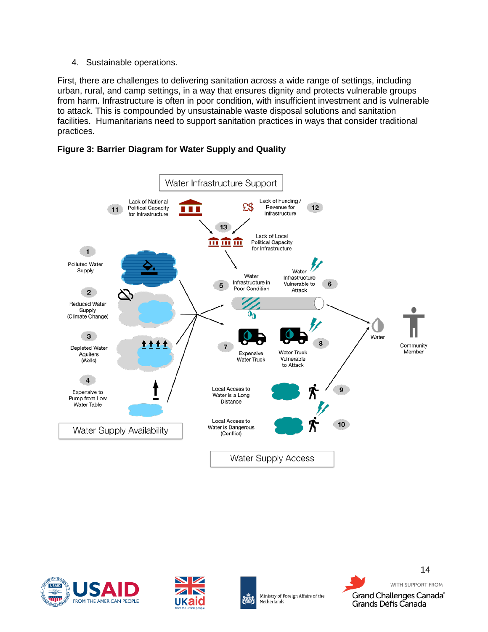4. Sustainable operations.

First, there are challenges to delivering sanitation across a wide range of settings, including urban, rural, and camp settings, in a way that ensures dignity and protects vulnerable groups from harm. Infrastructure is often in poor condition, with insufficient investment and is vulnerable to attack. This is compounded by unsustainable waste disposal solutions and sanitation facilities. Humanitarians need to support sanitation practices in ways that consider traditional practices.





<span id="page-14-0"></span>





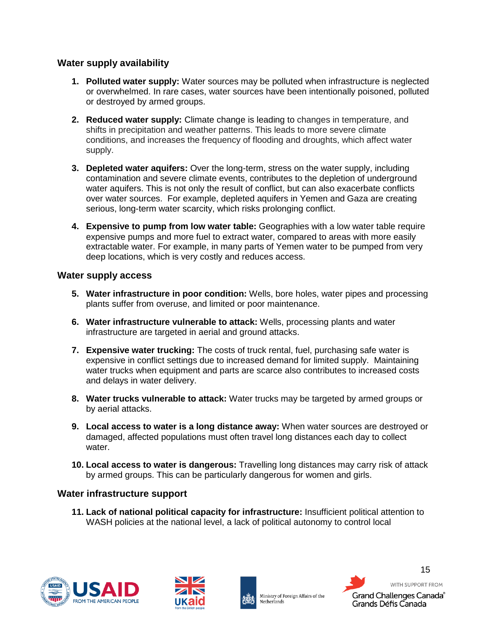#### **Water supply availability**

- **1. Polluted water supply:** Water sources may be polluted when infrastructure is neglected or overwhelmed. In rare cases, water sources have been intentionally poisoned, polluted or destroyed by armed groups.
- **2. Reduced water supply:** Climate change is leading to changes in temperature, and shifts in precipitation and weather patterns. This leads to more severe climate conditions, and increases the frequency of flooding and droughts, which affect water supply.
- **3. Depleted water aquifers:** Over the long-term, stress on the water supply, including contamination and severe climate events, contributes to the depletion of underground water aquifers. This is not only the result of conflict, but can also exacerbate conflicts over water sources. For example, depleted aquifers in Yemen and Gaza are creating serious, long-term water scarcity, which risks prolonging conflict.
- **4. Expensive to pump from low water table:** Geographies with a low water table require expensive pumps and more fuel to extract water, compared to areas with more easily extractable water. For example, in many parts of Yemen water to be pumped from very deep locations, which is very costly and reduces access.

#### <span id="page-15-0"></span>**Water supply access**

- **5. Water infrastructure in poor condition:** Wells, bore holes, water pipes and processing plants suffer from overuse, and limited or poor maintenance.
- **6. Water infrastructure vulnerable to attack:** Wells, processing plants and water infrastructure are targeted in aerial and ground attacks.
- **7. Expensive water trucking:** The costs of truck rental, fuel, purchasing safe water is expensive in conflict settings due to increased demand for limited supply. Maintaining water trucks when equipment and parts are scarce also contributes to increased costs and delays in water delivery.
- **8. Water trucks vulnerable to attack:** Water trucks may be targeted by armed groups or by aerial attacks.
- **9. Local access to water is a long distance away:** When water sources are destroyed or damaged, affected populations must often travel long distances each day to collect water.
- **10. Local access to water is dangerous:** Travelling long distances may carry risk of attack by armed groups. This can be particularly dangerous for women and girls.

#### <span id="page-15-1"></span>**Water infrastructure support**

**11. Lack of national political capacity for infrastructure:** Insufficient political attention to WASH policies at the national level, a lack of political autonomy to control local







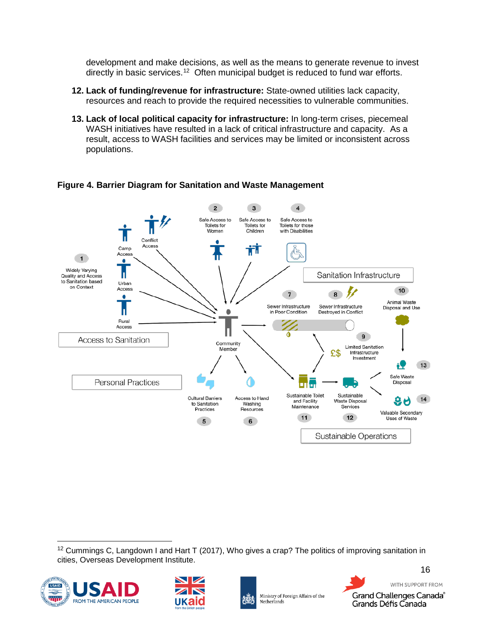development and make decisions, as well as the means to generate revenue to invest directly in basic services.<sup>12</sup> Often municipal budget is reduced to fund war efforts.

- **12. Lack of funding/revenue for infrastructure:** State-owned utilities lack capacity, resources and reach to provide the required necessities to vulnerable communities.
- **13. Lack of local political capacity for infrastructure:** In long-term crises, piecemeal WASH initiatives have resulted in a lack of critical infrastructure and capacity. As a result, access to WASH facilities and services may be limited or inconsistent across populations.



**Figure 4. Barrier Diagram for Sanitation and Waste Management**

<span id="page-16-0"></span> $12$  Cummings C, Langdown I and Hart T (2017), Who gives a crap? The politics of improving sanitation in cities, Overseas Development Institute.







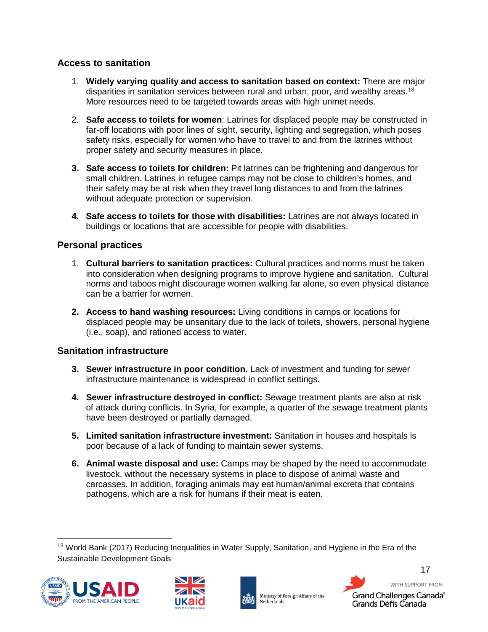#### <span id="page-17-0"></span>**Access to sanitation**

- 1. **Widely varying quality and access to sanitation based on context:** There are major disparities in sanitation services between rural and urban, poor, and wealthy areas.<sup>[13](#page-17-3)</sup> More resources need to be targeted towards areas with high unmet needs.
- 2. **Safe access to toilets for women**: Latrines for displaced people may be constructed in far-off locations with poor lines of sight, security, lighting and segregation, which poses safety risks, especially for women who have to travel to and from the latrines without proper safety and security measures in place.
- **3. Safe access to toilets for children:** Pit latrines can be frightening and dangerous for small children. Latrines in refugee camps may not be close to children's homes, and their safety may be at risk when they travel long distances to and from the latrines without adequate protection or supervision.
- **4. Safe access to toilets for those with disabilities:** Latrines are not always located in buildings or locations that are accessible for people with disabilities.

#### <span id="page-17-1"></span>**Personal practices**

- 1. **Cultural barriers to sanitation practices:** Cultural practices and norms must be taken into consideration when designing programs to improve hygiene and sanitation. Cultural norms and taboos might discourage women walking far alone, so even physical distance can be a barrier for women.
- **2. Access to hand washing resources:** Living conditions in camps or locations for displaced people may be unsanitary due to the lack of toilets, showers, personal hygiene (i.e., soap), and rationed access to water.

#### <span id="page-17-2"></span>**Sanitation infrastructure**

- **3. Sewer infrastructure in poor condition.** Lack of investment and funding for sewer infrastructure maintenance is widespread in conflict settings.
- **4. Sewer infrastructure destroyed in conflict:** Sewage treatment plants are also at risk of attack during conflicts. In Syria, for example, a quarter of the sewage treatment plants have been destroyed or partially damaged.
- **5. Limited sanitation infrastructure investment:** Sanitation in houses and hospitals is poor because of a lack of funding to maintain sewer systems.
- **6. Animal waste disposal and use:** Camps may be shaped by the need to accommodate livestock, without the necessary systems in place to dispose of animal waste and carcasses. In addition, foraging animals may eat human/animal excreta that contains pathogens, which are a risk for humans if their meat is eaten.

<span id="page-17-3"></span><sup>&</sup>lt;sup>13</sup> World Bank (2017) Reducing Inequalities in Water Supply, Sanitation, and Hygiene in the Era of the Sustainable Development Goals







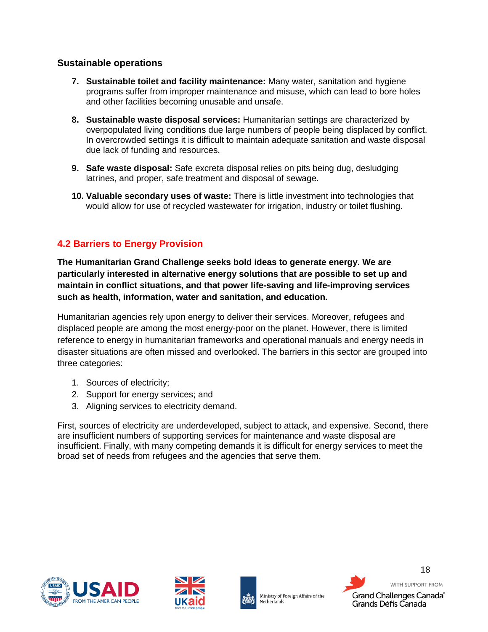#### <span id="page-18-0"></span>**Sustainable operations**

- **7. Sustainable toilet and facility maintenance:** Many water, sanitation and hygiene programs suffer from improper maintenance and misuse, which can lead to bore holes and other facilities becoming unusable and unsafe.
- **8. Sustainable waste disposal services:** Humanitarian settings are characterized by overpopulated living conditions due large numbers of people being displaced by conflict. In overcrowded settings it is difficult to maintain adequate sanitation and waste disposal due lack of funding and resources.
- **9. Safe waste disposal:** Safe excreta disposal relies on pits being dug, desludging latrines, and proper, safe treatment and disposal of sewage.
- **10. Valuable secondary uses of waste:** There is little investment into technologies that would allow for use of recycled wastewater for irrigation, industry or toilet flushing.

# <span id="page-18-1"></span>**4.2 Barriers to Energy Provision**

**The Humanitarian Grand Challenge seeks bold ideas to generate energy. We are particularly interested in alternative energy solutions that are possible to set up and maintain in conflict situations, and that power life-saving and life-improving services such as health, information, water and sanitation, and education.**

Humanitarian agencies rely upon energy to deliver their services. Moreover, refugees and displaced people are among the most energy-poor on the planet. However, there is limited reference to energy in humanitarian frameworks and operational manuals and energy needs in disaster situations are often missed and overlooked. The barriers in this sector are grouped into three categories:

- 1. Sources of electricity;
- 2. Support for energy services; and
- 3. Aligning services to electricity demand.

First, sources of electricity are underdeveloped, subject to attack, and expensive. Second, there are insufficient numbers of supporting services for maintenance and waste disposal are insufficient. Finally, with many competing demands it is difficult for energy services to meet the broad set of needs from refugees and the agencies that serve them.







Ministry of Foreign Affairs of the Netherlands

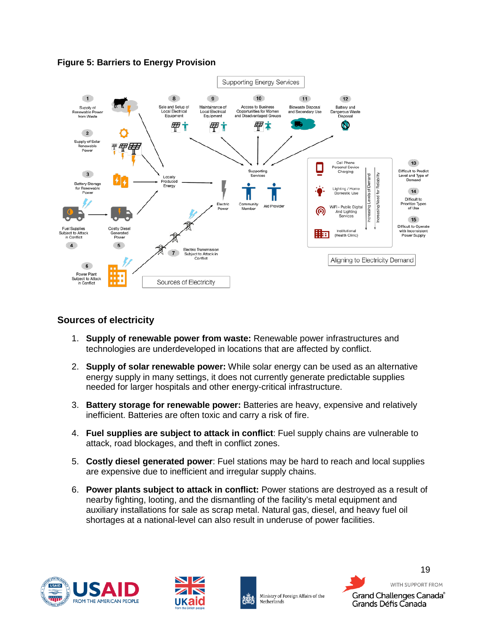



#### <span id="page-19-0"></span>**Sources of electricity**

- 1. **Supply of renewable power from waste:** Renewable power infrastructures and technologies are underdeveloped in locations that are affected by conflict.
- 2. **Supply of solar renewable power:** While solar energy can be used as an alternative energy supply in many settings, it does not currently generate predictable supplies needed for larger hospitals and other energy-critical infrastructure.
- 3. **Battery storage for renewable power:** Batteries are heavy, expensive and relatively inefficient. Batteries are often toxic and carry a risk of fire.
- 4. **Fuel supplies are subject to attack in conflict**: Fuel supply chains are vulnerable to attack, road blockages, and theft in conflict zones.
- 5. **Costly diesel generated power**: Fuel stations may be hard to reach and local supplies are expensive due to inefficient and irregular supply chains.
- 6. **Power plants subject to attack in conflict:** Power stations are destroyed as a result of nearby fighting, looting, and the dismantling of the facility's metal equipment and auxiliary installations for sale as scrap metal. Natural gas, diesel, and heavy fuel oil shortages at a national-level can also result in underuse of power facilities.

<span id="page-19-1"></span>





19 WITH SUPPORT FROM Grand Challenges Canada® Grands Défis Canada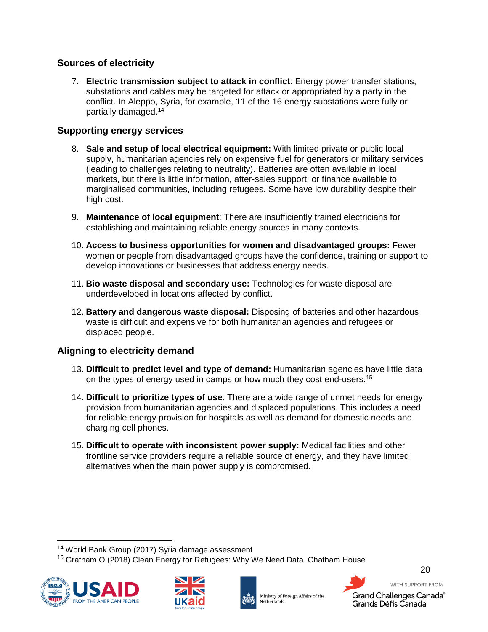#### **Sources of electricity**

7. **Electric transmission subject to attack in conflict**: Energy power transfer stations, substations and cables may be targeted for attack or appropriated by a party in the conflict. In Aleppo, Syria, for example, 11 of the 16 energy substations were fully or partially damaged.[14](#page-20-2)

### <span id="page-20-0"></span>**Supporting energy services**

- 8. **Sale and setup of local electrical equipment:** With limited private or public local supply, humanitarian agencies rely on expensive fuel for generators or military services (leading to challenges relating to neutrality). Batteries are often available in local markets, but there is little information, after-sales support, or finance available to marginalised communities, including refugees. Some have low durability despite their high cost.
- 9. **Maintenance of local equipment**: There are insufficiently trained electricians for establishing and maintaining reliable energy sources in many contexts.
- 10. **Access to business opportunities for women and disadvantaged groups:** Fewer women or people from disadvantaged groups have the confidence, training or support to develop innovations or businesses that address energy needs.
- 11. **Bio waste disposal and secondary use:** Technologies for waste disposal are underdeveloped in locations affected by conflict.
- 12. **Battery and dangerous waste disposal:** Disposing of batteries and other hazardous waste is difficult and expensive for both humanitarian agencies and refugees or displaced people.

# <span id="page-20-1"></span>**Aligning to electricity demand**

- 13. **Difficult to predict level and type of demand:** Humanitarian agencies have little data on the types of energy used in camps or how much they cost end-users. [15](#page-20-3)
- 14. **Difficult to prioritize types of use**: There are a wide range of unmet needs for energy provision from humanitarian agencies and displaced populations. This includes a need for reliable energy provision for hospitals as well as demand for domestic needs and charging cell phones.
- 15. **Difficult to operate with inconsistent power supply:** Medical facilities and other frontline service providers require a reliable source of energy, and they have limited alternatives when the main power supply is compromised.

<span id="page-20-3"></span><span id="page-20-2"></span><sup>&</sup>lt;sup>15</sup> Grafham O (2018) Clean Energy for Refugees: Why We Need Data. Chatham House









 <sup>14</sup> World Bank Group (2017) Syria damage assessment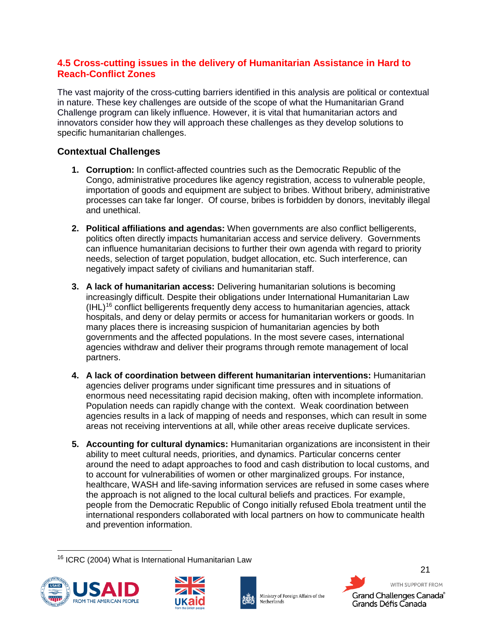#### <span id="page-21-0"></span>**4.5 Cross-cutting issues in the delivery of Humanitarian Assistance in Hard to Reach-Conflict Zones**

The vast majority of the cross-cutting barriers identified in this analysis are political or contextual in nature. These key challenges are outside of the scope of what the Humanitarian Grand Challenge program can likely influence. However, it is vital that humanitarian actors and innovators consider how they will approach these challenges as they develop solutions to specific humanitarian challenges.

# <span id="page-21-1"></span>**Contextual Challenges**

- **1. Corruption:** In conflict-affected countries such as the Democratic Republic of the Congo, administrative procedures like agency registration, access to vulnerable people, importation of goods and equipment are subject to bribes. Without bribery, administrative processes can take far longer. Of course, bribes is forbidden by donors, inevitably illegal and unethical.
- **2. Political affiliations and agendas:** When governments are also conflict belligerents, politics often directly impacts humanitarian access and service delivery. Governments can influence humanitarian decisions to further their own agenda with regard to priority needs, selection of target population, budget allocation, etc. Such interference, can negatively impact safety of civilians and humanitarian staff.
- **3. A lack of humanitarian access:** Delivering humanitarian solutions is becoming increasingly difficult. Despite their obligations under International Humanitarian Law  $(HL)<sup>16</sup>$  $(HL)<sup>16</sup>$  $(HL)<sup>16</sup>$  conflict belligerents frequently deny access to humanitarian agencies, attack hospitals, and deny or delay permits or access for humanitarian workers or goods. In many places there is increasing suspicion of humanitarian agencies by both governments and the affected populations. In the most severe cases, international agencies withdraw and deliver their programs through remote management of local partners.
- **4. A lack of coordination between different humanitarian interventions:** Humanitarian agencies deliver programs under significant time pressures and in situations of enormous need necessitating rapid decision making, often with incomplete information. Population needs can rapidly change with the context. Weak coordination between agencies results in a lack of mapping of needs and responses, which can result in some areas not receiving interventions at all, while other areas receive duplicate services.
- **5. Accounting for cultural dynamics:** Humanitarian organizations are inconsistent in their ability to meet cultural needs, priorities, and dynamics. Particular concerns center around the need to adapt approaches to food and cash distribution to local customs, and to account for vulnerabilities of women or other marginalized groups. For instance, healthcare, WASH and life-saving information services are refused in some cases where the approach is not aligned to the local cultural beliefs and practices. For example, people from the Democratic Republic of Congo initially refused Ebola treatment until the international responders collaborated with local partners on how to communicate health and prevention information.

<span id="page-21-2"></span> <sup>16</sup> ICRC (2004) What is International Humanitarian Law







Ministry of Foreign Affairs of the Netherlands

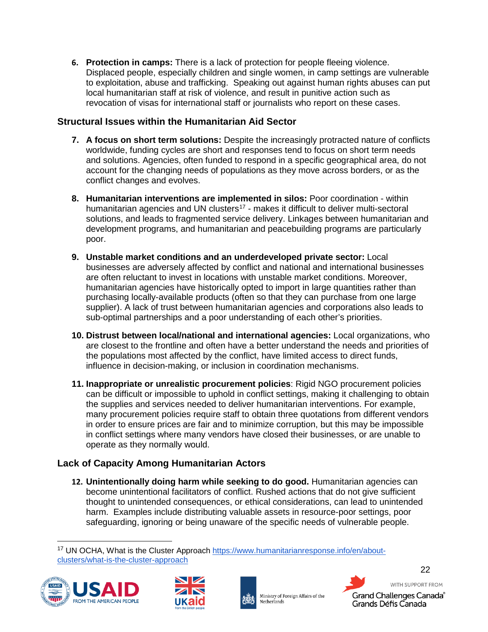**6. Protection in camps:** There is a lack of protection for people fleeing violence. Displaced people, especially children and single women, in camp settings are vulnerable to exploitation, abuse and trafficking. Speaking out against human rights abuses can put local humanitarian staff at risk of violence, and result in punitive action such as revocation of visas for international staff or journalists who report on these cases.

#### <span id="page-22-0"></span>**Structural Issues within the Humanitarian Aid Sector**

- **7. A focus on short term solutions:** Despite the increasingly protracted nature of conflicts worldwide, funding cycles are short and responses tend to focus on short term needs and solutions. Agencies, often funded to respond in a specific geographical area, do not account for the changing needs of populations as they move across borders, or as the conflict changes and evolves.
- **8. Humanitarian interventions are implemented in silos:** Poor coordination within humanitarian agencies and UN clusters<sup>17</sup> - makes it difficult to deliver multi-sectoral solutions, and leads to fragmented service delivery. Linkages between humanitarian and development programs, and humanitarian and peacebuilding programs are particularly poor.
- **9. Unstable market conditions and an underdeveloped private sector:** Local businesses are adversely affected by conflict and national and international businesses are often reluctant to invest in locations with unstable market conditions. Moreover, humanitarian agencies have historically opted to import in large quantities rather than purchasing locally-available products (often so that they can purchase from one large supplier). A lack of trust between humanitarian agencies and corporations also leads to sub-optimal partnerships and a poor understanding of each other's priorities.
- **10. Distrust between local/national and international agencies:** Local organizations, who are closest to the frontline and often have a better understand the needs and priorities of the populations most affected by the conflict, have limited access to direct funds, influence in decision-making, or inclusion in coordination mechanisms.
- **11. Inappropriate or unrealistic procurement policies**: Rigid NGO procurement policies can be difficult or impossible to uphold in conflict settings, making it challenging to obtain the supplies and services needed to deliver humanitarian interventions. For example, many procurement policies require staff to obtain three quotations from different vendors in order to ensure prices are fair and to minimize corruption, but this may be impossible in conflict settings where many vendors have closed their businesses, or are unable to operate as they normally would.

# <span id="page-22-1"></span>**Lack of Capacity Among Humanitarian Actors**

**12. Unintentionally doing harm while seeking to do good.** Humanitarian agencies can become unintentional facilitators of conflict. Rushed actions that do not give sufficient thought to unintended consequences, or ethical considerations, can lead to unintended harm. Examples include distributing valuable assets in resource-poor settings, poor safeguarding, ignoring or being unaware of the specific needs of vulnerable people.

<span id="page-22-2"></span><sup>&</sup>lt;sup>17</sup> UN OCHA, What is the Cluster Approach [https://www.humanitarianresponse.info/en/about](https://www.humanitarianresponse.info/en/about-clusters/what-is-the-cluster-approach)[clusters/what-is-the-cluster-approach](https://www.humanitarianresponse.info/en/about-clusters/what-is-the-cluster-approach)







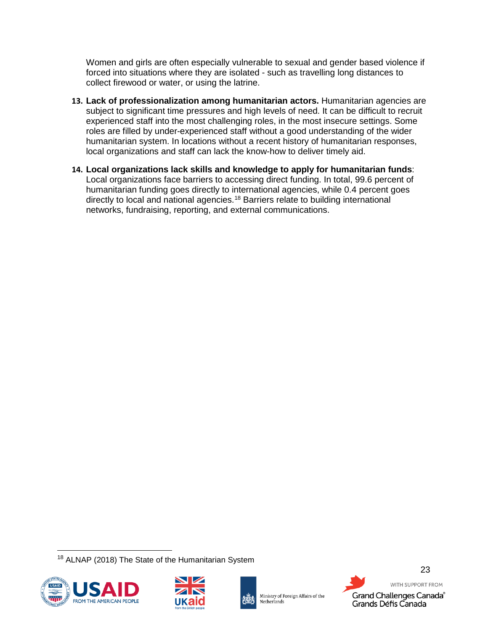Women and girls are often especially vulnerable to sexual and gender based violence if forced into situations where they are isolated - such as travelling long distances to collect firewood or water, or using the latrine.

- **13. Lack of professionalization among humanitarian actors.** Humanitarian agencies are subject to significant time pressures and high levels of need. It can be difficult to recruit experienced staff into the most challenging roles, in the most insecure settings. Some roles are filled by under-experienced staff without a good understanding of the wider humanitarian system. In locations without a recent history of humanitarian responses, local organizations and staff can lack the know-how to deliver timely aid.
- **14. Local organizations lack skills and knowledge to apply for humanitarian funds**: Local organizations face barriers to accessing direct funding. In total, 99.6 percent of humanitarian funding goes directly to international agencies, while 0.4 percent goes directly to local and national agencies.[18](#page-23-0) Barriers relate to building international networks, fundraising, reporting, and external communications.

<span id="page-23-0"></span> <sup>18</sup> ALNAP (2018) The State of the Humanitarian System







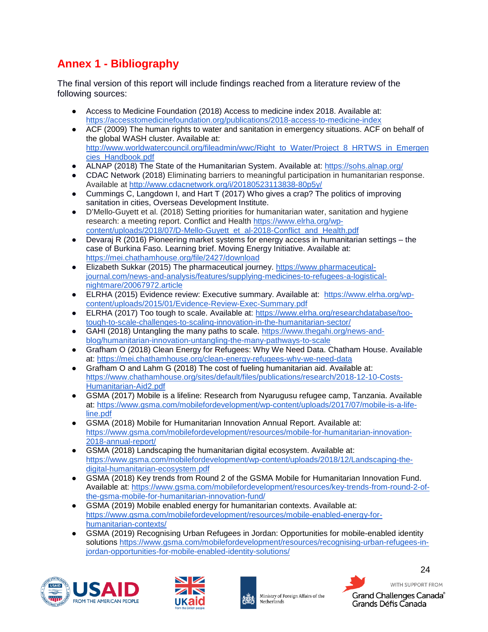# <span id="page-24-0"></span>**Annex 1 - Bibliography**

The final version of this report will include findings reached from a literature review of the following sources:

- Access to Medicine Foundation (2018) Access to medicine index 2018. Available at: <https://accesstomedicinefoundation.org/publications/2018-access-to-medicine-index>
- ACF (2009) The human rights to water and sanitation in emergency situations. ACF on behalf of the global WASH cluster. Available at: [http://www.worldwatercouncil.org/fileadmin/wwc/Right\\_to\\_Water/Project\\_8\\_HRTWS\\_in\\_Emergen](http://www.worldwatercouncil.org/fileadmin/wwc/Right_to_Water/Project_8_HRTWS_in_Emergencies_Handbook.pdf) [cies\\_Handbook.pdf](http://www.worldwatercouncil.org/fileadmin/wwc/Right_to_Water/Project_8_HRTWS_in_Emergencies_Handbook.pdf)
- ALNAP (2018) The State of the Humanitarian System. Available at:<https://sohs.alnap.org/>
- CDAC Network (2018) Eliminating barriers to meaningful participation in humanitarian response. Available at <http://www.cdacnetwork.org/i/20180523113838-80p5y/>
- Cummings C, Langdown I, and Hart T (2017) Who gives a crap? The politics of improving sanitation in cities, Overseas Development Institute.
- D'Mello-Guyett et al. (2018) Setting priorities for humanitarian water, sanitation and hygiene research: a meeting report. Conflict and Health [https://www.elrha.org/wp](https://www.elrha.org/wp-content/uploads/2018/07/D-Mello-Guyett_et_al-2018-Conflict_and_Health.pdf)[content/uploads/2018/07/D-Mello-Guyett\\_et\\_al-2018-Conflict\\_and\\_Health.pdf](https://www.elrha.org/wp-content/uploads/2018/07/D-Mello-Guyett_et_al-2018-Conflict_and_Health.pdf)
- Devaraj R (2016) Pioneering market systems for energy access in humanitarian settings the case of Burkina Faso. Learning brief. Moving Energy Initiative. Available at: [https://mei.chathamhouse.org/file/2427/download](https://mei.chathamhouse.org/file/2427/download?token=vt2XbNQe)
- Elizabeth Sukkar (2015) The pharmaceutical journey. [https://www.pharmaceutical](https://www.pharmaceutical-journal.com/news-and-analysis/features/supplying-medicines-to-refugees-a-logistical-nightmare/20067972.article)[journal.com/news-and-analysis/features/supplying-medicines-to-refugees-a-logistical](https://www.pharmaceutical-journal.com/news-and-analysis/features/supplying-medicines-to-refugees-a-logistical-nightmare/20067972.article)[nightmare/20067972.article](https://www.pharmaceutical-journal.com/news-and-analysis/features/supplying-medicines-to-refugees-a-logistical-nightmare/20067972.article)
- ELRHA (2015) Evidence review: Executive summary. Available at: [https://www.elrha.org/wp](https://www.elrha.org/wp-content/uploads/2015/01/Evidence-Review-Exec-Summary.pdf)[content/uploads/2015/01/Evidence-Review-Exec-Summary.pdf](https://www.elrha.org/wp-content/uploads/2015/01/Evidence-Review-Exec-Summary.pdf)
- ELRHA (2017) Too tough to scale. Available at: [https://www.elrha.org/researchdatabase/too](https://www.elrha.org/researchdatabase/too-tough-to-scale-challenges-to-scaling-innovation-in-the-humanitarian-sector/)[tough-to-scale-challenges-to-scaling-innovation-in-the-humanitarian-sector/](https://www.elrha.org/researchdatabase/too-tough-to-scale-challenges-to-scaling-innovation-in-the-humanitarian-sector/)
- GAHI (2018) Untangling the many paths to scale. [https://www.thegahi.org/news-and](https://www.thegahi.org/news-and-blog/humanitarian-innovation-untangling-the-many-pathways-to-scale)[blog/humanitarian-innovation-untangling-the-many-pathways-to-scale](https://www.thegahi.org/news-and-blog/humanitarian-innovation-untangling-the-many-pathways-to-scale)
- Grafham O (2018) Clean Energy for Refugees: Why We Need Data. Chatham House. Available at:<https://mei.chathamhouse.org/clean-energy-refugees-why-we-need-data>
- Grafham O and Lahm G (2018) The cost of fueling humanitarian aid. Available at: [https://www.chathamhouse.org/sites/default/files/publications/research/2018-12-10-Costs-](https://www.chathamhouse.org/sites/default/files/publications/research/2018-12-10-Costs-Humanitarian-Aid2.pdf)[Humanitarian-Aid2.pdf](https://www.chathamhouse.org/sites/default/files/publications/research/2018-12-10-Costs-Humanitarian-Aid2.pdf)
- GSMA (2017) Mobile is a lifeline: Research from Nyarugusu refugee camp, Tanzania. Available at: [https://www.gsma.com/mobilefordevelopment/wp-content/uploads/2017/07/mobile-is-a-life](https://www.gsma.com/mobilefordevelopment/wp-content/uploads/2017/07/mobile-is-a-life-line.pdf)[line.pdf](https://www.gsma.com/mobilefordevelopment/wp-content/uploads/2017/07/mobile-is-a-life-line.pdf)
- GSMA (2018) Mobile for Humanitarian Innovation Annual Report. Available at: [https://www.gsma.com/mobilefordevelopment/resources/mobile-for-humanitarian-innovation-](https://www.gsma.com/mobilefordevelopment/resources/mobile-for-humanitarian-innovation-2018-annual-report/)[2018-annual-report/](https://www.gsma.com/mobilefordevelopment/resources/mobile-for-humanitarian-innovation-2018-annual-report/)
- GSMA (2018) Landscaping the humanitarian digital ecosystem. Available at: [https://www.gsma.com/mobilefordevelopment/wp-content/uploads/2018/12/Landscaping-the](https://www.gsma.com/mobilefordevelopment/wp-content/uploads/2018/12/Landscaping-the-digital-humanitarian-ecosystem.pdf)[digital-humanitarian-ecosystem.pdf](https://www.gsma.com/mobilefordevelopment/wp-content/uploads/2018/12/Landscaping-the-digital-humanitarian-ecosystem.pdf)
- GSMA (2018) Key trends from Round 2 of the GSMA Mobile for Humanitarian Innovation Fund. Available at: [https://www.gsma.com/mobilefordevelopment/resources/key-trends-from-round-2-of](https://www.gsma.com/mobilefordevelopment/resources/key-trends-from-round-2-of-the-gsma-mobile-for-humanitarian-innovation-fund/)[the-gsma-mobile-for-humanitarian-innovation-fund/](https://www.gsma.com/mobilefordevelopment/resources/key-trends-from-round-2-of-the-gsma-mobile-for-humanitarian-innovation-fund/)
- GSMA (2019) Mobile enabled energy for humanitarian contexts. Available at: [https://www.gsma.com/mobilefordevelopment/resources/mobile-enabled-energy-for](https://www.gsma.com/mobilefordevelopment/resources/mobile-enabled-energy-for-humanitarian-contexts/)[humanitarian-contexts/](https://www.gsma.com/mobilefordevelopment/resources/mobile-enabled-energy-for-humanitarian-contexts/)
- GSMA (2019) Recognising Urban Refugees in Jordan: Opportunities for mobile-enabled identity solutions [https://www.gsma.com/mobilefordevelopment/resources/recognising-urban-refugees-in](https://www.gsma.com/mobilefordevelopment/resources/recognising-urban-refugees-in-jordan-opportunities-for-mobile-enabled-identity-solutions/)[jordan-opportunities-for-mobile-enabled-identity-solutions/](https://www.gsma.com/mobilefordevelopment/resources/recognising-urban-refugees-in-jordan-opportunities-for-mobile-enabled-identity-solutions/)